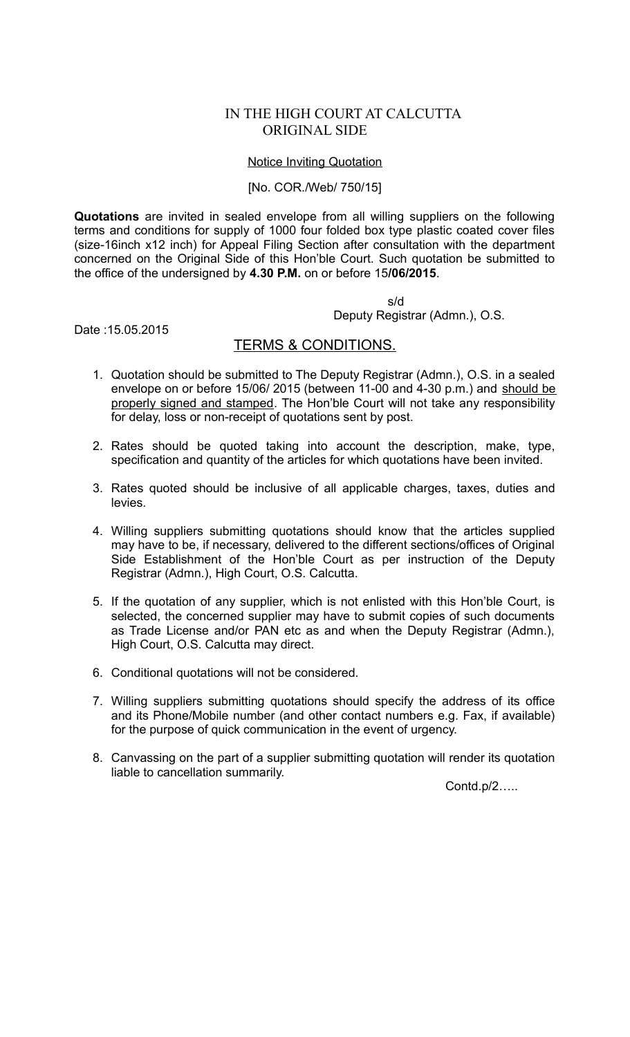# IN THE HIGH COURT AT CALCUTTA ORIGINAL SIDE

### Notice Inviting Quotation

#### [No. COR./Web/ 750/15]

**Quotations** are invited in sealed envelope from all willing suppliers on the following terms and conditions for supply of 1000 four folded box type plastic coated cover files (size-16inch x12 inch) for Appeal Filing Section after consultation with the department concerned on the Original Side of this Hon'ble Court. Such quotation be submitted to the office of the undersigned by **4.30 P.M.** on or before 15**/06/2015**.

s/d

Deputy Registrar (Admn.), O.S.

Date :15.05.2015

## TERMS & CONDITIONS.

- 1. Quotation should be submitted to The Deputy Registrar (Admn.), O.S. in a sealed envelope on or before 15/06/ 2015 (between 11-00 and 4-30 p.m.) and should be properly signed and stamped. The Hon'ble Court will not take any responsibility for delay, loss or non-receipt of quotations sent by post.
- 2. Rates should be quoted taking into account the description, make, type, specification and quantity of the articles for which quotations have been invited.
- 3. Rates quoted should be inclusive of all applicable charges, taxes, duties and levies.
- 4. Willing suppliers submitting quotations should know that the articles supplied may have to be, if necessary, delivered to the different sections/offices of Original Side Establishment of the Hon'ble Court as per instruction of the Deputy Registrar (Admn.), High Court, O.S. Calcutta.
- 5. If the quotation of any supplier, which is not enlisted with this Hon'ble Court, is selected, the concerned supplier may have to submit copies of such documents as Trade License and/or PAN etc as and when the Deputy Registrar (Admn.), High Court, O.S. Calcutta may direct.
- 6. Conditional quotations will not be considered.
- 7. Willing suppliers submitting quotations should specify the address of its office and its Phone/Mobile number (and other contact numbers e.g. Fax, if available) for the purpose of quick communication in the event of urgency.
- 8. Canvassing on the part of a supplier submitting quotation will render its quotation liable to cancellation summarily.

Contd.p/2…..